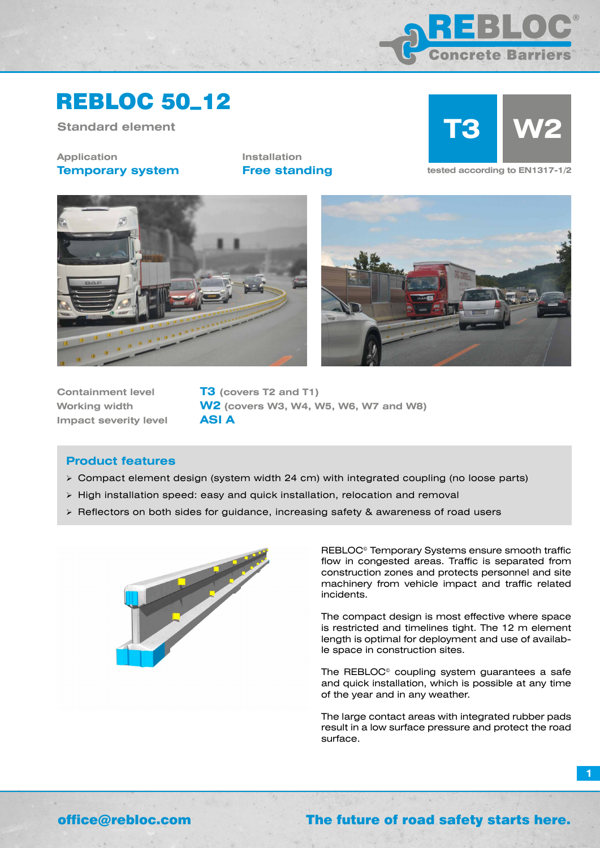

## REBLOC 50\_12

**Standard element**

**Application Temporary system** **Installation**



**Free standing tested according to EN1317-1/2** 





**Containment level T3 (covers T2 and T1) Impact severity level ASI A**

**Working width W2 (covers W3, W4, W5, W6, W7 and W8)**

### **Product features**

- Compact element design (system width 24 cm) with integrated coupling (no loose parts)
- $\triangleright$  High installation speed: easy and quick installation, relocation and removal
- $\triangleright$  Reflectors on both sides for guidance, increasing safety & awareness of road users



REBLOC© Temporary Systems ensure smooth traffic flow in congested areas. Traffic is separated from construction zones and protects personnel and site machinery from vehicle impact and traffic related incidents.

The compact design is most effective where space is restricted and timelines tight. The 12 m element length is optimal for deployment and use of available space in construction sites.

The REBLOC© coupling system guarantees a safe and quick installation, which is possible at any time of the year and in any weather.

The large contact areas with integrated rubber pads result in a low surface pressure and protect the road surface.

**1**